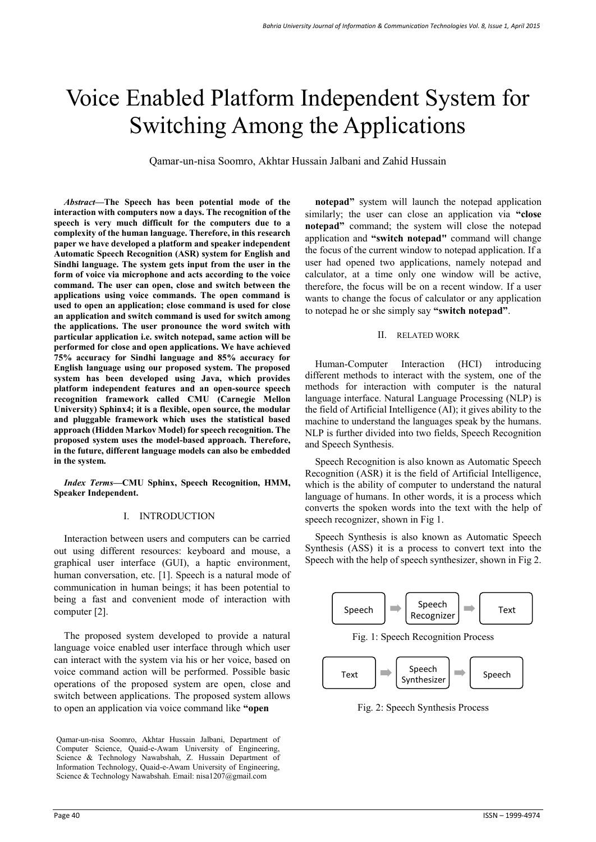# Voice Enabled Platform Independent System for Switching Among the Applications

Qamar-un-nisa Soomro, Akhtar Hussain Jalbani and Zahid Hussain

*Abstract***—The Speech has been potential mode of the interaction with computers now a days. The recognition of the speech is very much difficult for the computers due to a complexity of the human language. Therefore, in this research paper we have developed a platform and speaker independent Automatic Speech Recognition (ASR) system for English and Sindhi language. The system gets input from the user in the form of voice via microphone and acts according to the voice command. The user can open, close and switch between the applications using voice commands. The open command is used to open an application; close command is used for close an application and switch command is used for switch among the applications. The user pronounce the word switch with particular application i.e. switch notepad, same action will be performed for close and open applications. We have achieved 75% accuracy for Sindhi language and 85% accuracy for English language using our proposed system. The proposed system has been developed using Java, which provides platform independent features and an open-source speech recognition framework called CMU (Carnegie Mellon University) Sphinx4; it is a flexible, open source, the modular and pluggable framework which uses the statistical based approach (Hidden Markov Model) for speech recognition. The proposed system uses the model-based approach. Therefore, in the future, different language models can also be embedded in the system.** 

*Index Terms***—CMU Sphinx, Speech Recognition, HMM, Speaker Independent.** 

### I. INTRODUCTION

Interaction between users and computers can be carried out using different resources: keyboard and mouse, a graphical user interface (GUI), a haptic environment, human conversation, etc. [1]. Speech is a natural mode of communication in human beings; it has been potential to being a fast and convenient mode of interaction with computer [2].

The proposed system developed to provide a natural language voice enabled user interface through which user can interact with the system via his or her voice, based on voice command action will be performed. Possible basic operations of the proposed system are open, close and switch between applications. The proposed system allows to open an application via voice command like **"open** 

Qamar-un-nisa Soomro, Akhtar Hussain Jalbani, Department of Computer Science, Quaid-e-Awam University of Engineering, Science & Technology Nawabshah, Z. Hussain Department of Information Technology, Quaid-e-Awam University of Engineering, Science & Technology Nawabshah. Email: nisa1207@gmail.com

**notepad"** system will launch the notepad application similarly; the user can close an application via **"close notepad"** command; the system will close the notepad application and **"switch notepad"** command will change the focus of the current window to notepad application. If a user had opened two applications, namely notepad and calculator, at a time only one window will be active, therefore, the focus will be on a recent window. If a user wants to change the focus of calculator or any application to notepad he or she simply say **"switch notepad"**.

### II. RELATED WORK

Human-Computer Interaction (HCI) introducing different methods to interact with the system, one of the methods for interaction with computer is the natural language interface. Natural Language Processing (NLP) is the field of Artificial Intelligence (AI); it gives ability to the machine to understand the languages speak by the humans. NLP is further divided into two fields, Speech Recognition and Speech Synthesis.

Speech Recognition is also known as Automatic Speech Recognition (ASR) it is the field of Artificial Intelligence, which is the ability of computer to understand the natural language of humans. In other words, it is a process which converts the spoken words into the text with the help of speech recognizer, shown in Fig 1.

Speech Synthesis is also known as Automatic Speech Synthesis (ASS) it is a process to convert text into the Speech with the help of speech synthesizer, shown in Fig 2.



Fig. 2: Speech Synthesis Process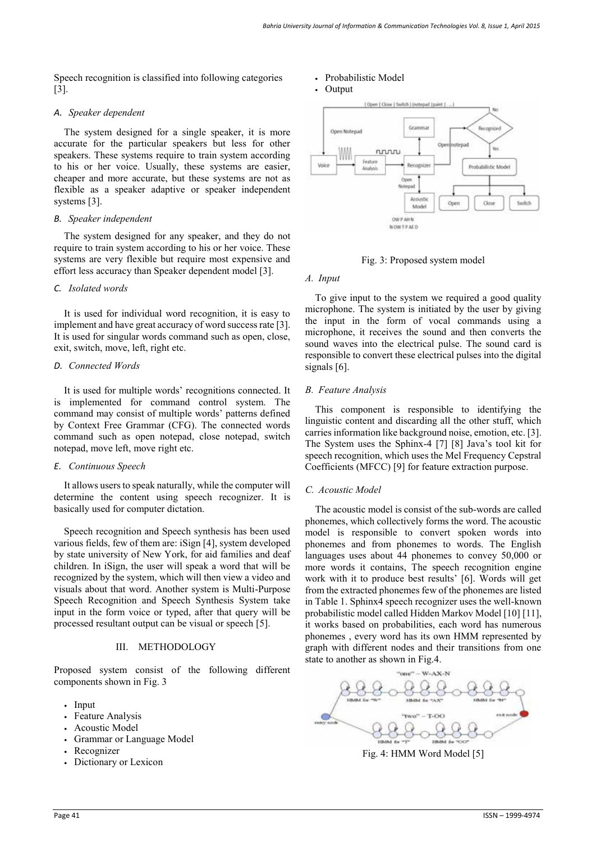Speech recognition is classified into following categories [3].

## *A. Speaker dependent*

The system designed for a single speaker, it is more accurate for the particular speakers but less for other speakers. These systems require to train system according to his or her voice. Usually, these systems are easier, cheaper and more accurate, but these systems are not as flexible as a speaker adaptive or speaker independent systems [3].

## *B. Speaker independent*

The system designed for any speaker, and they do not require to train system according to his or her voice. These systems are very flexible but require most expensive and effort less accuracy than Speaker dependent model [3].

## *C. Isolated words*

It is used for individual word recognition, it is easy to implement and have great accuracy of word success rate [3]. It is used for singular words command such as open, close, exit, switch, move, left, right etc.

## *D. Connected Words*

It is used for multiple words' recognitions connected. It is implemented for command control system. The command may consist of multiple words' patterns defined by Context Free Grammar (CFG). The connected words command such as open notepad, close notepad, switch notepad, move left, move right etc.

## *E. Continuous Speech*

It allows users to speak naturally, while the computer will determine the content using speech recognizer. It is basically used for computer dictation.

Speech recognition and Speech synthesis has been used various fields, few of them are: iSign [4], system developed by state university of New York, for aid families and deaf children. In iSign, the user will speak a word that will be recognized by the system, which will then view a video and visuals about that word. Another system is Multi-Purpose Speech Recognition and Speech Synthesis System take input in the form voice or typed, after that query will be processed resultant output can be visual or speech [5].

## III. METHODOLOGY

Proposed system consist of the following different components shown in Fig. 3

- Input
- Feature Analysis
- Acoustic Model
- Grammar or Language Model
- **Recognizer**
- Dictionary or Lexicon

## • Probabilistic Model





## Fig. 3: Proposed system model

### *A. Input*

To give input to the system we required a good quality microphone. The system is initiated by the user by giving the input in the form of vocal commands using a microphone, it receives the sound and then converts the sound waves into the electrical pulse. The sound card is responsible to convert these electrical pulses into the digital signals [6].

## *B. Feature Analysis*

This component is responsible to identifying the linguistic content and discarding all the other stuff, which carries information like background noise, emotion, etc. [3]. The System uses the Sphinx-4 [7] [8] Java's tool kit for speech recognition, which uses the Mel Frequency Cepstral Coefficients (MFCC) [9] for feature extraction purpose.

## *C. Acoustic Model*

The acoustic model is consist of the sub-words are called phonemes, which collectively forms the word. The acoustic model is responsible to convert spoken words into phonemes and from phonemes to words. The English languages uses about 44 phonemes to convey 50,000 or more words it contains, The speech recognition engine work with it to produce best results' [6]. Words will get from the extracted phonemes few of the phonemes are listed in Table 1. Sphinx4 speech recognizer uses the well-known probabilistic model called Hidden Markov Model [10] [11], it works based on probabilities, each word has numerous phonemes , every word has its own HMM represented by graph with different nodes and their transitions from one state to another as shown in Fig.4.



Fig. 4: HMM Word Model [5]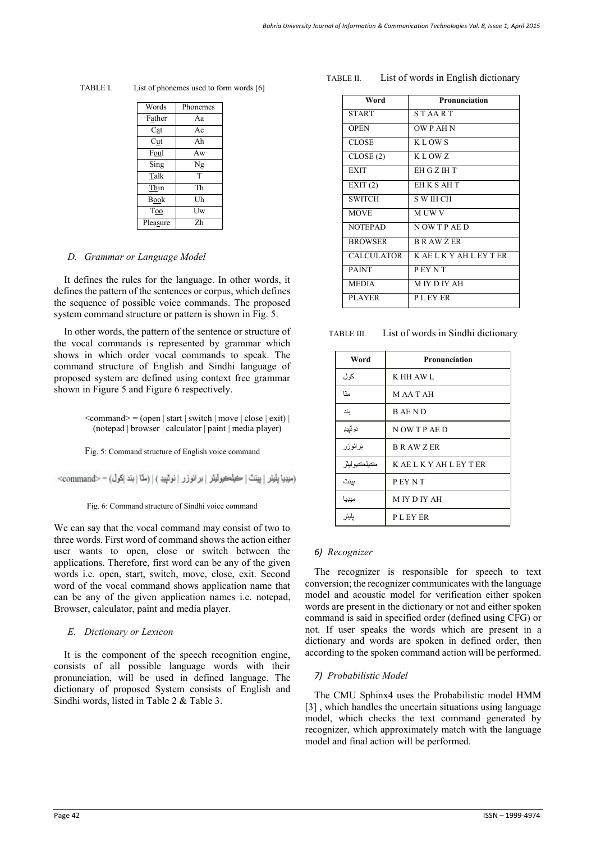| Words       | Phonemes |
|-------------|----------|
| Father      | Aa       |
| Cat         | Ae       |
| Cut         | Ah       |
| Foul        | Aw       |
| Sing        | Ng       |
| Talk        | T        |
| Thin        | Th       |
| <b>Book</b> | Uh       |
| Too         | Uw       |
| Pleasure    | Zh       |

TABLE I. List of phonemes used to form words [6]

### *D. Grammar or Language Model*

It defines the rules for the language. In other words, it defines the pattern of the sentences or corpus, which defines the sequence of possible voice commands. The proposed system command structure or pattern is shown in Fig. 5.

In other words, the pattern of the sentence or structure of the vocal commands is represented by grammar which shows in which order vocal commands to speak. The command structure of English and Sindhi language of proposed system are defined using context free grammar shown in Figure 5 and Figure 6 respectively.

> $\leq$ command $\geq$  = (open | start | switch | move | close | exit) | (notepad | browser | calculator | paint | media player)

Fig. 5: Command structure of English voice command

(میبیا یلیئر | پینٹ | کیلکیولیئر | بر انوزر | نوئیید ) | (مثا | بند |کول) = <command>

Fig. 6: Command structure of Sindhi voice command

We can say that the vocal command may consist of two to three words. First word of command shows the action either user wants to open, close or switch between the applications. Therefore, first word can be any of the given words i.e. open, start, switch, move, close, exit. Second word of the vocal command shows application name that can be any of the given application names i.e. notepad, Browser, calculator, paint and media player.

## *E. Dictionary or Lexicon*

It is the component of the speech recognition engine, consists of all possible language words with their pronunciation, will be used in defined language. The dictionary of proposed System consists of English and Sindhi words, listed in Table 2 & Table 3.

#### TABLE II. List of words in English dictionary

| Word              | Pronunciation           |
|-------------------|-------------------------|
| <b>START</b>      | <b>STAART</b>           |
| <b>OPEN</b>       | OW P AH N               |
| CLOSE             | <b>KLOWS</b>            |
| CLOSE(2)          | KLOWZ                   |
| <b>EXIT</b>       | EH G Z IH T             |
| EXIT(2)           | <b>EHKSAHT</b>          |
| <b>SWITCH</b>     | S W IH CH               |
| <b>MOVE</b>       | <b>MUWV</b>             |
| <b>NOTEPAD</b>    | NOW TP AE D             |
| <b>BROWSER</b>    | <b>BRAWZER</b>          |
| <b>CALCULATOR</b> | K AE L K Y AH L EY T ER |
| <b>PAINT</b>      | <b>PEYNT</b>            |
| <b>MEDIA</b>      | <b>MIYDIYAH</b>         |
| <b>PLAYER</b>     | <b>PLEYER</b>           |

TABLE III. List of words in Sindhi dictionary

| Word        | Pronunciation           |
|-------------|-------------------------|
| كول         | K HH AW L               |
| منّا        | <b>MAATAH</b>           |
| بند         | <b>BAEND</b>            |
| نوٽييڊ      | NOW TP AE D             |
| برائوزر     | <b>B R AW Z ER</b>      |
| کيلکيو ليٽر | K AE L K Y AH L EY T ER |
| پينٽ        | <b>PEYNT</b>            |
| ميڊيا       | <b>MIYDIYAH</b>         |
| يليئر       | <b>PLEYER</b>           |

## *6) Recognizer*

The recognizer is responsible for speech to text conversion; the recognizer communicates with the language model and acoustic model for verification either spoken words are present in the dictionary or not and either spoken command is said in specified order (defined using CFG) or not. If user speaks the words which are present in a dictionary and words are spoken in defined order, then according to the spoken command action will be performed.

## *7) Probabilistic Model*

The CMU Sphinx4 uses the Probabilistic model HMM [3] , which handles the uncertain situations using language model, which checks the text command generated by recognizer, which approximately match with the language model and final action will be performed.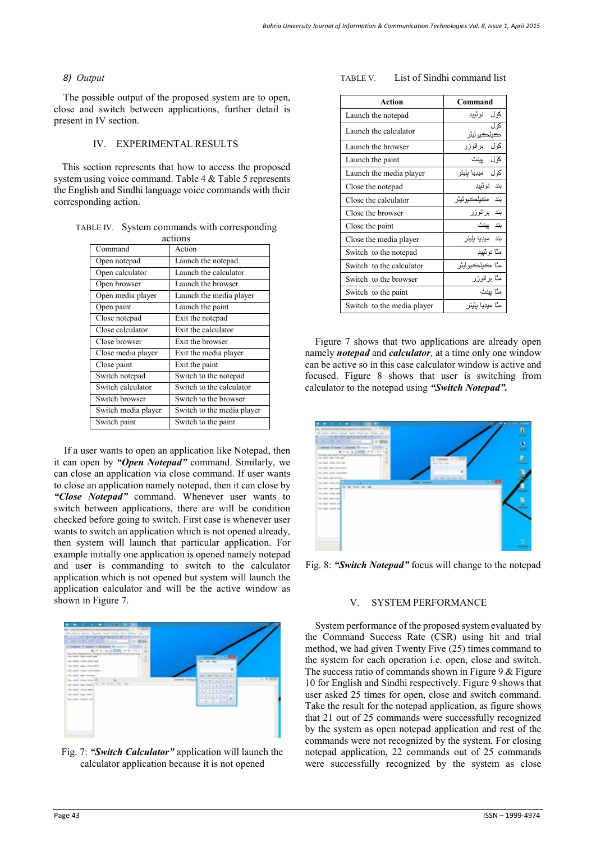# *8) Output*

The possible output of the proposed system are to open, close and switch between applications, further detail is present in IV section.

## IV. EXPERIMENTAL RESULTS

This section represents that how to access the proposed system using voice command. Table 4 & Table 5 represents the English and Sindhi language voice commands with their corresponding action.

| actions             |                            |  |  |  |
|---------------------|----------------------------|--|--|--|
| Command             | Action                     |  |  |  |
| Open notepad        | Launch the notepad         |  |  |  |
| Open calculator     | Launch the calculator      |  |  |  |
| Open browser        | Launch the browser         |  |  |  |
| Open media player   | Launch the media player    |  |  |  |
| Open paint          | Launch the paint           |  |  |  |
| Close notepad       | Exit the notepad           |  |  |  |
| Close calculator    | Exit the calculator        |  |  |  |
| Close browser       | Exit the browser           |  |  |  |
| Close media player  | Exit the media player      |  |  |  |
| Close paint         | Exit the paint             |  |  |  |
| Switch notepad      | Switch to the notepad      |  |  |  |
| Switch calculator   | Switch to the calculator   |  |  |  |
| Switch browser      | Switch to the browser      |  |  |  |
| Switch media player | Switch to the media player |  |  |  |
| Switch paint        | Switch to the paint        |  |  |  |

TABLE IV. System commands with corresponding

If a user wants to open an application like Notepad, then it can open by *"Open Notepad"* command. Similarly, we can close an application via close command. If user wants to close an application namely notepad, then it can close by *"Close Notepad"* command. Whenever user wants to switch between applications, there are will be condition checked before going to switch. First case is whenever user wants to switch an application which is not opened already, then system will launch that particular application. For example initially one application is opened namely notepad and user is commanding to switch to the calculator application which is not opened but system will launch the application calculator and will be the active window as shown in Figure 7.



Fig. 7: *"Switch Calculator"* application will launch the calculator application because it is not opened

## TABLE V. List of Sindhi command list

| <b>Action</b>              | Command           |
|----------------------------|-------------------|
| Launch the notepad         | كول نوٽبيڊ        |
| Launch the calculator      | کیلکیو لیڈ        |
| Launch the browser         | كول برائوزر       |
| Launch the paint           | كول بينٽ          |
| Launch the media player    | کول میڊیا بلیئر   |
| Close the notepad          | بند نوٽيڊ         |
| Close the calculator       | بند   کبلکبو لېئر |
| Close the browser          | بند برائوزر       |
| Close the paint            | بند ببنٽ          |
| Close the media player     | بند ميڊيا پليئر   |
| Switch to the notepad      | مٽا نوٽييڊ        |
| Switch to the calculator   | مٽا ڪبلڪبو لبٽر   |
| Switch to the browser      | مٽا برائوزر       |
| Switch to the paint        | منّا بينٽ         |
| Switch to the media player | منّا ميديا بليئر  |

Figure 7 shows that two applications are already open namely *notepad* and *calculator,* at a time only one window can be active so in this case calculator window is active and focused. Figure 8 shows that user is switching from calculator to the notepad using *"Switch Notepad".* 



Fig. 8: *"Switch Notepad"* focus will change to the notepad

## V. SYSTEM PERFORMANCE

System performance of the proposed system evaluated by the Command Success Rate (CSR) using hit and trial method, we had given Twenty Five (25) times command to the system for each operation i.e. open, close and switch. The success ratio of commands shown in Figure 9  $&$  Figure 10 for English and Sindhi respectively. Figure 9 shows that user asked 25 times for open, close and switch command. Take the result for the notepad application, as figure shows that 21 out of 25 commands were successfully recognized by the system as open notepad application and rest of the commands were not recognized by the system. For closing notepad application, 22 commands out of 25 commands were successfully recognized by the system as close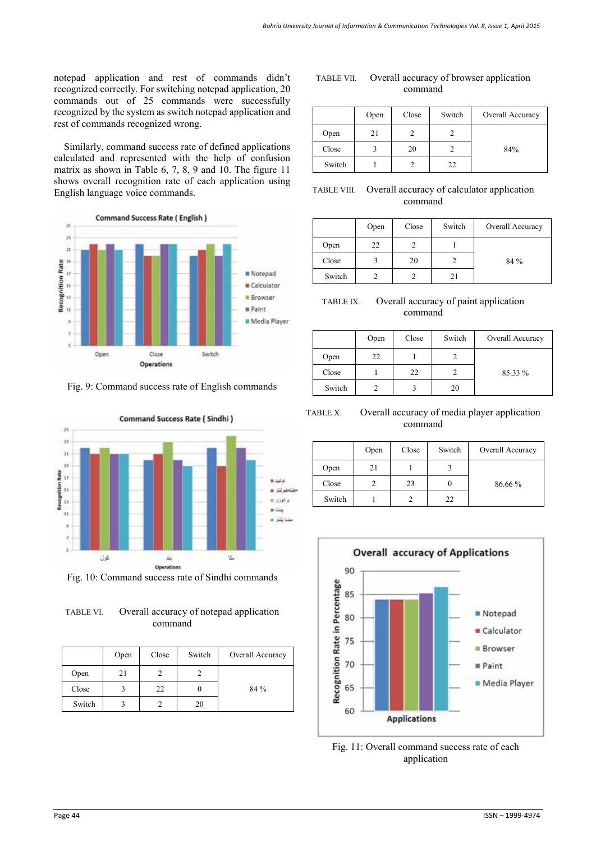notepad application and rest of commands didn't recognized correctly. For switching notepad application, 20 commands out of 25 commands were successfully recognized by the system as switch notepad application and rest of commands recognized wrong.

Similarly, command success rate of defined applications calculated and represented with the help of confusion matrix as shown in Table 6, 7, 8, 9 and 10. The figure 11 shows overall recognition rate of each application using English language voice commands.



Fig. 9: Command success rate of English commands



Fig. 10: Command success rate of Sindhi commands

TABLE VI. Overall accuracy of notepad application command

|        | Open | Close | Switch | Overall Accuracy |
|--------|------|-------|--------|------------------|
| Open   | 21   |       |        |                  |
| Close  |      | 22    |        | 84 %             |
| Switch |      |       | 20     |                  |

| TABLE VII. | Overall accuracy of browser application |
|------------|-----------------------------------------|
|            | command                                 |

|        | Open | Close | Switch | Overall Accuracy |
|--------|------|-------|--------|------------------|
| Open   | 21   |       |        |                  |
| Close  |      | 20    |        | 84%              |
| Switch |      |       | 22     |                  |

# TABLE VIII. Overall accuracy of calculator application command

|        | Open | Close | Switch | Overall Accuracy |
|--------|------|-------|--------|------------------|
| Open   | 22   |       |        |                  |
| Close  |      | 20    |        | 84 %             |
| Switch |      |       | 21     |                  |

| TABLE IX. | Overall accuracy of paint application |
|-----------|---------------------------------------|
|           | command                               |

|        | Open | Close | Switch | Overall Accuracy |
|--------|------|-------|--------|------------------|
| Open   | 22   |       |        |                  |
| Close  |      | 22    |        | 85.33 %          |
| Switch |      |       | 20     |                  |

TABLE X. Overall accuracy of media player application command

|        | Open | Close | Switch | Overall Accuracy |
|--------|------|-------|--------|------------------|
| Open   | 21   |       |        |                  |
| Close  |      | 23    |        | 86.66 %          |
| Switch |      |       | 22     |                  |



Fig. 11: Overall command success rate of each application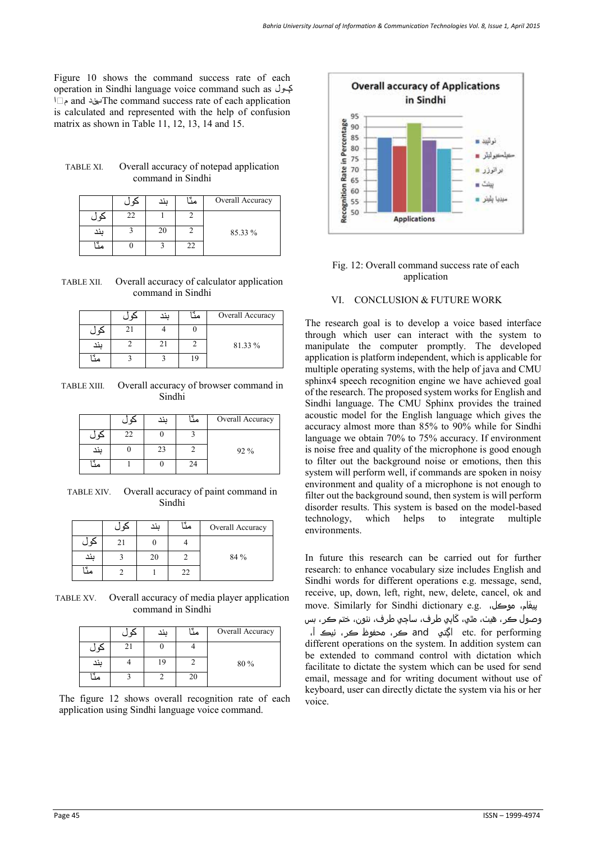Figure 10 shows the command success rate of each operation in Sindhi language voice command such as کول, مٽا and بند. The command success rate of each application is calculated and represented with the help of confusion matrix as shown in Table 11, 12, 13, 14 and 15.

| <b>TABLE XI.</b> | Overall accuracy of notepad application |
|------------------|-----------------------------------------|
|                  | command in Sindhi                       |

|     |    | ىند | مڏ | Overall Accuracy |
|-----|----|-----|----|------------------|
|     | 22 |     |    |                  |
| ىند |    | 20  |    | 85.33 %          |
|     |    |     | 22 |                  |

TABLE XII. Overall accuracy of calculator application command in Sindhi

|     | ىند | Overall Accuracy |
|-----|-----|------------------|
|     |     |                  |
| ىند |     | 81.33 %          |
|     |     |                  |

TABLE XIII. Overall accuracy of browser command in Sindhi

|     | حور | ىند | مڈ | Overall Accuracy |
|-----|-----|-----|----|------------------|
| کور | 22  |     |    |                  |
| ىند |     | 23  |    | 92 %             |
|     |     |     | 24 |                  |

TABLE XIV. Overall accuracy of paint command in Sindhi

|     |    | ىند | مٽا | Overall Accuracy |
|-----|----|-----|-----|------------------|
|     | 21 |     |     |                  |
| بند |    | 20  |     | 84 %             |
| مد  |    |     | 22  |                  |

TABLE XV. Overall accuracy of media player application command in Sindhi

|    |    | وذد | مڏا | Overall Accuracy |
|----|----|-----|-----|------------------|
|    | 21 |     |     |                  |
|    |    | 19  |     | 80%              |
| مڈ |    |     | 20  |                  |

The figure 12 shows overall recognition rate of each application using Sindhi language voice command.



Fig. 12: Overall command success rate of each application

## VI. CONCLUSION & FUTURE WORK

The research goal is to develop a voice based interface through which user can interact with the system to manipulate the computer promptly. The developed application is platform independent, which is applicable for multiple operating systems, with the help of java and CMU sphinx4 speech recognition engine we have achieved goal of the research. The proposed system works for English and Sindhi language. The CMU Sphinx provides the trained acoustic model for the English language which gives the accuracy almost more than 85% to 90% while for Sindhi language we obtain 70% to 75% accuracy. If environment is noise free and quality of the microphone is good enough to filter out the background noise or emotions, then this system will perform well, if commands are spoken in noisy environment and quality of a microphone is not enough to filter out the background sound, then system is will perform disorder results. This system is based on the model-based technology, which helps to integrate multiple environments.

In future this research can be carried out for further research: to enhance vocabulary size includes English and Sindhi words for different operations e.g. message, send, receive, up, down, left, right, new, delete, cancel, ok and move. Similarly for Sindhi dictionary e.g. ،موڪل ،غامَ پي وصول ڪر، ھيٺ، مٿي، کَاٻي طرف، ساڄي طرف، نئون، ختم ڪر، بس performing for .etc اڳتي and ڪر، محفوظ ڪر، ٺيڪ آ، different operations on the system. In addition system can be extended to command control with dictation which facilitate to dictate the system which can be used for send email, message and for writing document without use of keyboard, user can directly dictate the system via his or her voice.